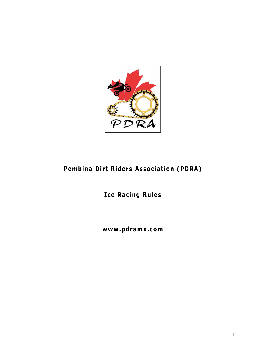

### **Pembina Dirt Riders Association (PDRA)**

### **Ice Racing Rules**

### **www .pdramx .com**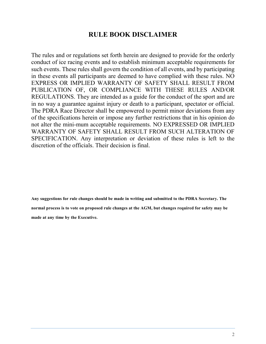#### **RULE BOOK DISCLAIMER**

The rules and or regulations set forth herein are designed to provide for the orderly conduct of ice racing events and to establish minimum acceptable requirements for such events. These rules shall govern the condition of all events, and by participating in these events all participants are deemed to have complied with these rules. NO EXPRESS OR IMPLIED WARRANTY OF SAFETY SHALL RESULT FROM PUBLICATION OF, OR COMPLIANCE WITH THESE RULES AND/OR REGULATIONS. They are intended as a guide for the conduct of the sport and are in no way a guarantee against injury or death to a participant, spectator or official. The PDRA Race Director shall be empowered to permit minor deviations from any of the specifications herein or impose any further restrictions that in his opinion do not alter the mini-mum acceptable requirements. NO EXPRESSED OR IMPLIED WARRANTY OF SAFETY SHALL RESULT FROM SUCH ALTERATION OF SPECIFICATION. Any interpretation or deviation of these rules is left to the discretion of the officials. Their decision is final.

**Any suggestions for rule changes should be made in writing and submitted to the PDRA Secretary. The normal process is to vote on proposed rule changes at the AGM, but changes required for safety may be made at any time by the Executive.**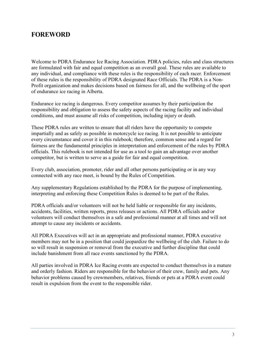#### **FOREWORD**

Welcome to PDRA Endurance Ice Racing Association. PDRA policies, rules and class structures are formulated with fair and equal competition as an overall goal. These rules are available to any individual, and compliance with these rules is the responsibility of each racer. Enforcement of these rules is the responsibility of PDRA designated Race Officials. The PDRA is a Non-Profit organization and makes decisions based on fairness for all, and the wellbeing of the sport of endurance ice racing in Alberta.

Endurance ice racing is dangerous. Every competitor assumes by their participation the responsibility and obligation to assess the safety aspects of the racing facility and individual conditions, and must assume all risks of competition, including injury or death.

These PDRA rules are written to ensure that all riders have the opportunity to compete impartially and as safely as possible in motorcycle ice racing. It is not possible to anticipate every circumstance and cover it in this rulebook; therefore, common sense and a regard for fairness are the fundamental principles in interpretation and enforcement of the rules by PDRA officials. This rulebook is not intended for use as a tool to gain an advantage over another competitor, but is written to serve as a guide for fair and equal competition.

Every club, association, promoter, rider and all other persons participating or in any way connected with any race meet, is bound by the Rules of Competition.

Any supplementary Regulations established by the PDRA for the purpose of implementing, interpreting and enforcing these Competition Rules is deemed to be part of the Rules.

PDRA officials and/or volunteers will not be held liable or responsible for any incidents, accidents, facilities, written reports, press releases or actions. All PDRA officials and/or volunteers will conduct themselves in a safe and professional manner at all times and will not attempt to cause any incidents or accidents.

All PDRA Executives will act in an appropriate and professional manner, PDRA executive members may not be in a position that could jeopardize the wellbeing of the club. Failure to do so will result in suspension or removal from the executive and further discipline that could include banishment from all race events sanctioned by the PDRA.

All parties involved in PDRA Ice Racing events are expected to conduct themselves in a mature and orderly fashion. Riders are responsible for the behavior of their crew, family and pets. Any behavior problems caused by crewmembers, relatives, friends or pets at a PDRA event could result in expulsion from the event to the responsible rider.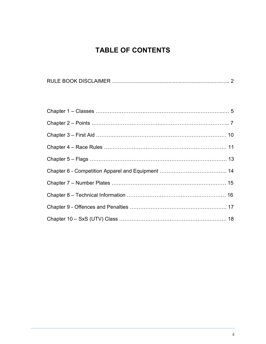### **TABLE OF CONTENTS**

|--|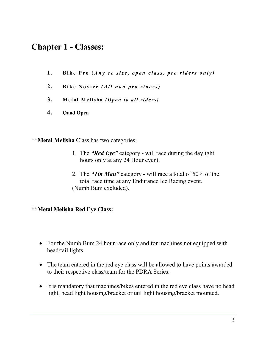### **Chapter 1 - Classes:**

- 1. Bike Pro (*Any cc size, open class, pro riders only*)
- 2. **Bike Novice** (All non pro riders)
- **3. M e t al M eli sh a** *(O pe n to a ll ri de rs )*
- **4. Quad Open**

**\*\*Metal Melisha** Class has two categories:

- 1. The *"Red Eye"* category will race during the daylight hours only at any 24 Hour event.
- 2. The *"Tin Man"* category will race a total of 50% of the total race time at any Endurance Ice Racing event. (Numb Bum excluded).

#### **\*\*Metal Melisha Red Eye Class:**

- For the Numb Bum 24 hour race only and for machines not equipped with head/tail lights.
- The team entered in the red eye class will be allowed to have points awarded to their respective class/team for the PDRA Series.
- It is mandatory that machines/bikes entered in the red eye class have no head light, head light housing/bracket or tail light housing/bracket mounted.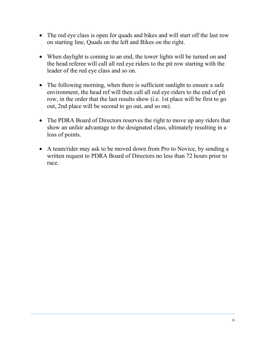- The red eye class is open for quads and bikes and will start off the last row on starting line, Quads on the left and Bikes on the right.
- When daylight is coming to an end, the tower lights will be turned on and the head referee will call all red eye riders to the pit row starting with the leader of the red eye class and so on.
- The following morning, when there is sufficient sunlight to ensure a safe environment, the head ref will then call all red eye riders to the end of pit row, in the order that the last results show (i.e. 1st place will be first to go out, 2nd place will be second to go out, and so on).
- The PDRA Board of Directors reserves the right to move up any riders that show an unfair advantage to the designated class, ultimately resulting in a loss of points.
- A team/rider may ask to be moved down from Pro to Novice, by sending a written request to PDRA Board of Directors no less than 72 hours prior to race.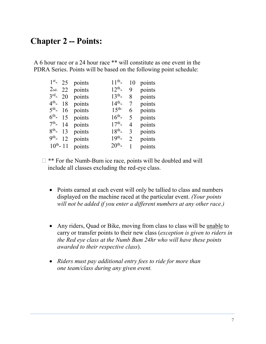### **Chapter 2 – Points:**

A 6 hour race or a 24 hour race \*\* will constitute as one event in the PDRA Series. Points will be based on the following point schedule:

|               | $1st$ 25 points    | $11^{th}$            | 10             | points |
|---------------|--------------------|----------------------|----------------|--------|
|               | $2nd$ 22 points    | $12^{th}$ -          | 9              | points |
| $3^{rd}$ - 20 | points             | $13^{th}$ -          | 8              | points |
|               | $4th$ - 18 points  | $14^{th}$ -          | 7              | points |
|               | $5th$ - 16 points  | $1.5$ <sup>th-</sup> | 6              | points |
|               | $6th$ - 15 points  | $16^{th}$ -          | 5              | points |
|               | $7th$ - 14 points  | $17^{th}$ -          | 4              | points |
|               | $8th$ - 13 points  | $18^{th}$            | 3              | points |
| $9^{th}$ - 12 | points             | $19^{th}$ -          | $\mathfrak{D}$ | points |
|               | $10th - 11$ points | $20^{th}$ -          | 1              | points |

- $\Box$  \*\* For the Numb-Bum ice race, points will be doubled and will include all classes excluding the red-eye class.
	- Points earned at each event will only be tallied to class and numbers displayed on the machine raced at the particular event. *(Your points will not be added if you enter a different numbers at any other race.)*
	- Any riders, Quad or Bike, moving from class to class will be unable to carry or transfer points to their new class (*exception is given to riders in the Red eye class at the Numb Bum 24hr who will have these points awarded to their respective class*).
	- *Riders must pay additional entry fees to ride for more than one team/class during any given event.*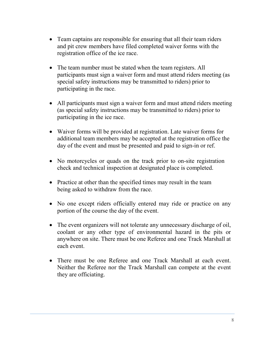- Team captains are responsible for ensuring that all their team riders and pit crew members have filed completed waiver forms with the registration office of the ice race.
- The team number must be stated when the team registers. All participants must sign a waiver form and must attend riders meeting (as special safety instructions may be transmitted to riders) prior to participating in the race.
- All participants must sign a waiver form and must attend riders meeting (as special safety instructions may be transmitted to riders) prior to participating in the ice race.
- Waiver forms will be provided at registration. Late waiver forms for additional team members may be accepted at the registration office the day of the event and must be presented and paid to sign-in or ref.
- No motorcycles or quads on the track prior to on-site registration check and technical inspection at designated place is completed.
- Practice at other than the specified times may result in the team being asked to withdraw from the race.
- No one except riders officially entered may ride or practice on any portion of the course the day of the event.
- The event organizers will not tolerate any unnecessary discharge of oil, coolant or any other type of environmental hazard in the pits or anywhere on site. There must be one Referee and one Track Marshall at each event.
- There must be one Referee and one Track Marshall at each event. Neither the Referee nor the Track Marshall can compete at the event they are officiating.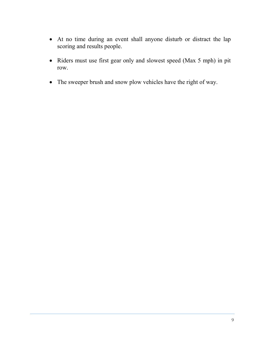- At no time during an event shall anyone disturb or distract the lap scoring and results people.
- Riders must use first gear only and slowest speed (Max 5 mph) in pit row.
- The sweeper brush and snow plow vehicles have the right of way.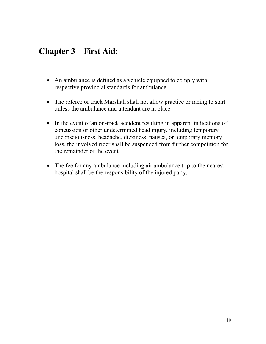## **Chapter 3 – First Aid:**

- An ambulance is defined as a vehicle equipped to comply with respective provincial standards for ambulance.
- The referee or track Marshall shall not allow practice or racing to start unless the ambulance and attendant are in place.
- In the event of an on-track accident resulting in apparent indications of concussion or other undetermined head injury, including temporary unconsciousness, headache, dizziness, nausea, or temporary memory loss, the involved rider shall be suspended from further competition for the remainder of the event.
- The fee for any ambulance including air ambulance trip to the nearest hospital shall be the responsibility of the injured party.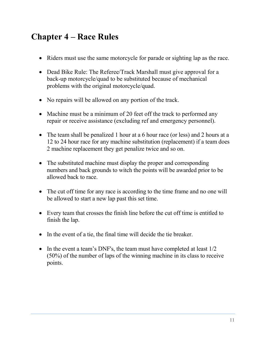## **Chapter 4 – Race Rules**

- Riders must use the same motorcycle for parade or sighting lap as the race.
- Dead Bike Rule: The Referee/Track Marshall must give approval for a back-up motorcycle/quad to be substituted because of mechanical problems with the original motorcycle/quad.
- No repairs will be allowed on any portion of the track.
- Machine must be a minimum of 20 feet off the track to performed any repair or receive assistance (excluding ref and emergency personnel).
- The team shall be penalized 1 hour at a 6 hour race (or less) and 2 hours at a 12 to 24 hour race for any machine substitution (replacement) if a team does 2 machine replacement they get penalize twice and so on.
- The substituted machine must display the proper and corresponding numbers and back grounds to witch the points will be awarded prior to be allowed back to race.
- The cut off time for any race is according to the time frame and no one will be allowed to start a new lap past this set time.
- Every team that crosses the finish line before the cut off time is entitled to finish the lap.
- In the event of a tie, the final time will decide the tie breaker.
- In the event a team's DNF's, the team must have completed at least  $1/2$ (50%) of the number of laps of the winning machine in its class to receive points.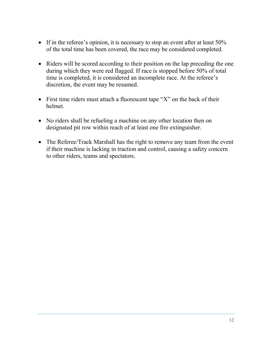- If in the referee's opinion, it is necessary to stop an event after at least 50% of the total time has been covered, the race may be considered completed.
- Riders will be scored according to their position on the lap preceding the one during which they were red flagged. If race is stopped before 50% of total time is completed, it is considered an incomplete race. At the referee's discretion, the event may be resumed.
- First time riders must attach a fluorescent tape "X" on the back of their helmet.
- No riders shall be refueling a machine on any other location then on designated pit row within reach of at least one fire extinguisher.
- The Referee/Track Marshall has the right to remove any team from the event if their machine is lacking in traction and control, causing a safety concern to other riders, teams and spectators.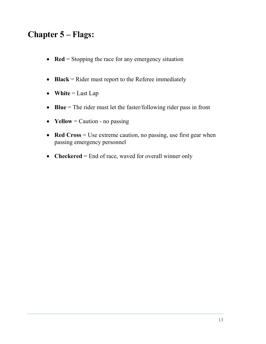# **Chapter 5 – Flags:**

- **Red** = Stopping the race for any emergency situation
- **Black** = Rider must report to the Referee immediately
- White  $=$  Last Lap
- **Blue** = The rider must let the faster/following rider pass in front
- **Yellow** = Caution no passing
- **Red Cross** = Use extreme caution, no passing, use first gear when passing emergency personnel
- **Checkered** = End of race, waved for overall winner only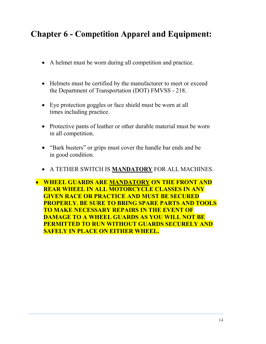## **Chapter 6 - Competition Apparel and Equipment:**

- A helmet must be worn during all competition and practice.
- Helmets must be certified by the manufacturer to meet or exceed the Department of Transportation (DOT) FMVSS - 218.
- Eye protection goggles or face shield must be worn at all times including practice.
- Protective pants of leather or other durable material must be worn in all competition.
- "Bark busters" or grips must cover the handle bar ends and be in good condition.
- A TETHER SWITCH IS **MANDATORY** FOR ALL MACHINES.

• **WHEEL GUARDS ARE MANDATORY ON THE FRONT AND REAR WHEEL IN ALL MOTORCYCLE CLASSES IN ANY GIVEN RACE OR PRACTICE AND MUST BE SECURED PROPERLY. BE SURE TO BRING SPARE PARTS AND TOOLS TO MAKE NECESSARY REPAIRS IN THE EVENT OF DAMAGE TO A WHEEL GUARDS AS YOU WILL NOT BE PERMITTED TO RUN WITHOUT GUARDS SECURELY AND SAFELY IN PLACE ON EITHER WHEEL.**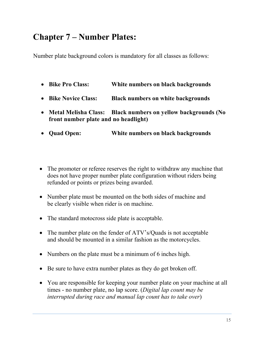## **Chapter 7 – Number Plates:**

Number plate background colors is mandatory for all classes as follows:

- **Bike Pro Class: White numbers on black backgrounds**
- **Bike Novice Class: Black numbers on white backgrounds**
- **Metal Melisha Class: Black numbers on yellow backgrounds (No front number plate and no headlight)**
- **Quad Open: White numbers on black backgrounds**
- The promoter or referee reserves the right to withdraw any machine that does not have proper number plate configuration without riders being refunded or points or prizes being awarded.
- Number plate must be mounted on the both sides of machine and be clearly visible when rider is on machine.
- The standard motocross side plate is acceptable.
- The number plate on the fender of ATV's/Quads is not acceptable and should be mounted in a similar fashion as the motorcycles.
- Numbers on the plate must be a minimum of 6 inches high.
- Be sure to have extra number plates as they do get broken off.
- You are responsible for keeping your number plate on your machine at all times - no number plate, no lap score. (*Digital lap count may be interrupted during race and manual lap count has to take over*)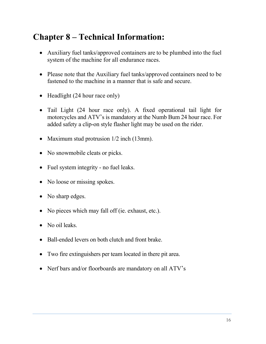# **Chapter 8 – Technical Information:**

- Auxiliary fuel tanks/approved containers are to be plumbed into the fuel system of the machine for all endurance races.
- Please note that the Auxiliary fuel tanks/approved containers need to be fastened to the machine in a manner that is safe and secure.
- Headlight (24 hour race only)
- Tail Light (24 hour race only). A fixed operational tail light for motorcycles and ATV's is mandatory at the Numb Bum 24 hour race. For added safety a clip-on style flasher light may be used on the rider.
- Maximum stud protrusion  $1/2$  inch (13mm).
- No snowmobile cleats or picks.
- Fuel system integrity no fuel leaks.
- No loose or missing spokes.
- No sharp edges.
- No pieces which may fall off (ie. exhaust, etc.).
- No oil leaks
- Ball-ended levers on both clutch and front brake
- Two fire extinguishers per team located in there pit area.
- Nerf bars and/or floorboards are mandatory on all ATV's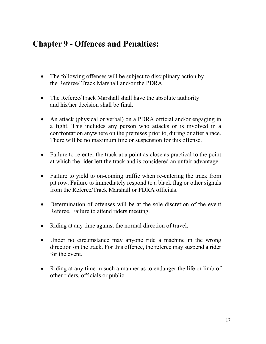## **Chapter 9 - Offences and Penalties:**

- The following offenses will be subject to disciplinary action by the Referee/ Track Marshall and/or the PDRA.
- The Referee/Track Marshall shall have the absolute authority and his/her decision shall be final.
- An attack (physical or verbal) on a PDRA official and/or engaging in a fight. This includes any person who attacks or is involved in a confrontation anywhere on the premises prior to, during or after a race. There will be no maximum fine or suspension for this offense.
- Failure to re-enter the track at a point as close as practical to the point at which the rider left the track and is considered an unfair advantage.
- Failure to yield to on-coming traffic when re-entering the track from pit row. Failure to immediately respond to a black flag or other signals from the Referee/Track Marshall or PDRA officials.
- Determination of offenses will be at the sole discretion of the event Referee. Failure to attend riders meeting.
- Riding at any time against the normal direction of travel.
- Under no circumstance may anyone ride a machine in the wrong direction on the track. For this offence, the referee may suspend a rider for the event.
- Riding at any time in such a manner as to endanger the life or limb of other riders, officials or public.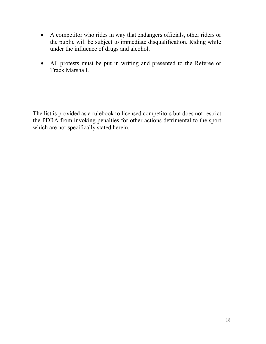- A competitor who rides in way that endangers officials, other riders or the public will be subject to immediate disqualification. Riding while under the influence of drugs and alcohol.
- All protests must be put in writing and presented to the Referee or Track Marshall.

The list is provided as a rulebook to licensed competitors but does not restrict the PDRA from invoking penalties for other actions detrimental to the sport which are not specifically stated herein.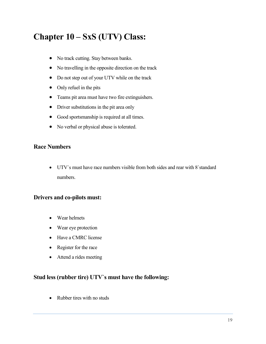# **Chapter 10 – SxS (UTV) Class:**

- No track cutting. Stay between banks.
- No travelling in the opposite direction on the track
- Do not step out of your UTV while on the track
- Only refuel in the pits
- Teams pit area must have two fire extinguishers.
- Driver substitutions in the pit area only
- Good sportsmanship is required at all times.
- No verbal or physical abuse is tolerated.

#### **Race Numbers**

• UTV`s must have race numbers visible from both sides and rear with 8`standard numbers.

#### **Drivers and co-pilots must:**

- Wear helmets
- Wear eye protection
- Have a CMRC license
- Register for the race
- Attend a rides meeting

#### **Stud less (rubber tire) UTV`s must have the following:**

• Rubber tires with no studs